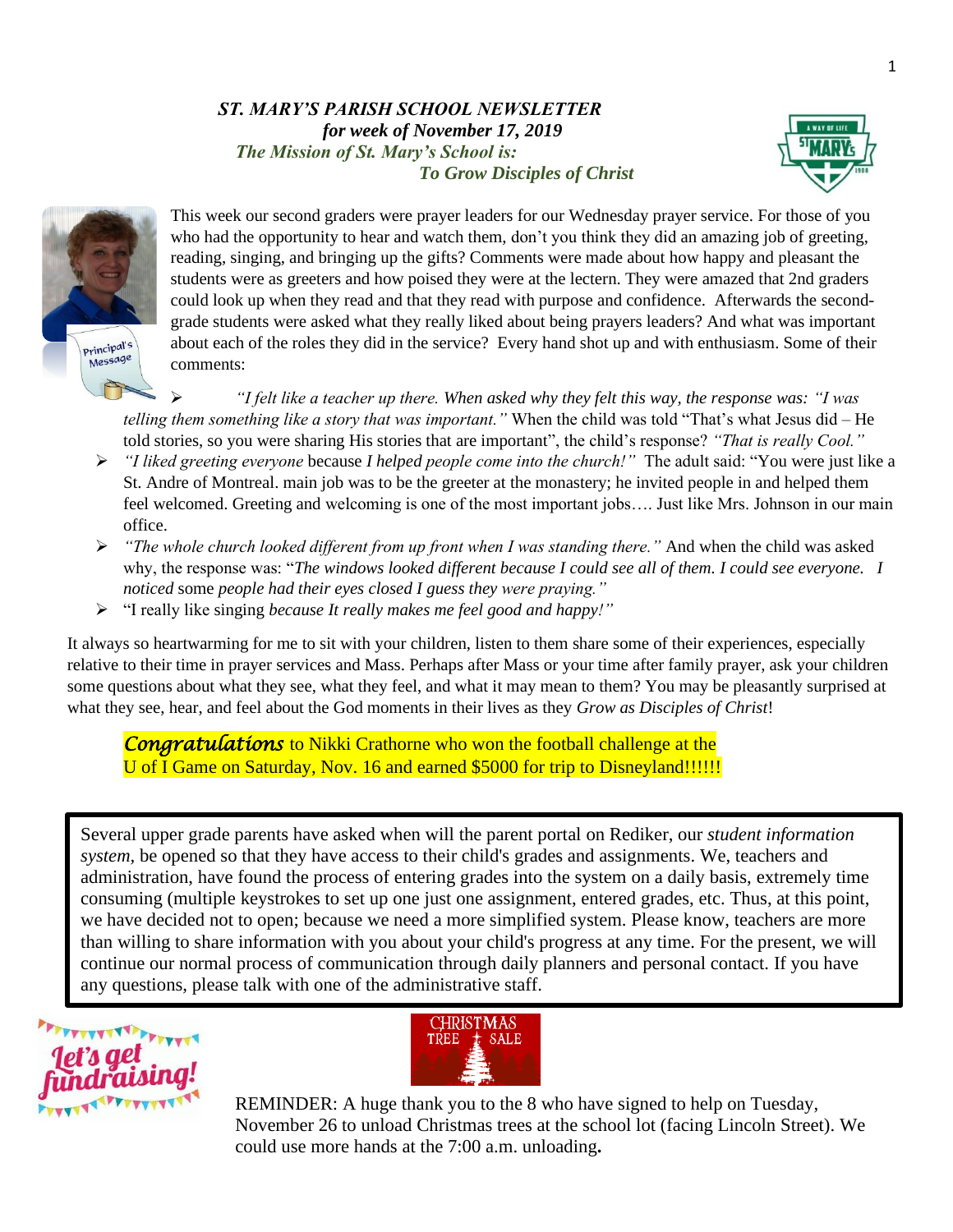#### *ST. MARY'S PARISH SCHOOL NEWSLETTER for week of November 17, 2019 The Mission of St. Mary's School is: To Grow Disciples of Christ*





This week our second graders were prayer leaders for our Wednesday prayer service. For those of you who had the opportunity to hear and watch them, don't you think they did an amazing job of greeting, reading, singing, and bringing up the gifts? Comments were made about how happy and pleasant the students were as greeters and how poised they were at the lectern. They were amazed that 2nd graders could look up when they read and that they read with purpose and confidence. Afterwards the secondgrade students were asked what they really liked about being prayers leaders? And what was important about each of the roles they did in the service? Every hand shot up and with enthusiasm. Some of their comments:

➢ *"I felt like a teacher up there. When asked why they felt this way, the response was: "I was telling them something like a story that was important."* When the child was told "That's what Jesus did – He told stories, so you were sharing His stories that are important", the child's response? *"That is really Cool."*

- ➢ *"I liked greeting everyone* because *I helped people come into the church!"* The adult said: "You were just like a St. Andre of Montreal. main job was to be the greeter at the monastery; he invited people in and helped them feel welcomed. Greeting and welcoming is one of the most important jobs…. Just like Mrs. Johnson in our main office.
- ➢ *"The whole church looked different from up front when I was standing there."* And when the child was asked why, the response was: "*The windows looked different because I could see all of them. I could see everyone. I noticed* some *people had their eyes closed I guess they were praying."*
- ➢ "I really like singing *because It really makes me feel good and happy!"*

It always so heartwarming for me to sit with your children, listen to them share some of their experiences, especially relative to their time in prayer services and Mass. Perhaps after Mass or your time after family prayer, ask your children some questions about what they see, what they feel, and what it may mean to them? You may be pleasantly surprised at what they see, hear, and feel about the God moments in their lives as they *Grow as Disciples of Christ*!

 *Congratulations* to Nikki Crathorne who won the football challenge at the U of I Game on Saturday, Nov. 16 and earned \$5000 for trip to Disneyland!!!!!!

Several upper grade parents have asked when will the parent portal on Rediker, our *student information system,* be opened so that they have access to their child's grades and assignments. We, teachers and administration, have found the process of entering grades into the system on a daily basis, extremely time consuming (multiple keystrokes to set up one just one assignment, entered grades, etc. Thus, at this point, we have decided not to open; because we need a more simplified system. Please know, teachers are more than willing to share information with you about your child's progress at any time. For the present, we will continue our normal process of communication through daily planners and personal contact. If you have any questions, please talk with one of the administrative staff.





REMINDER: A huge thank you to the 8 who have signed to help on Tuesday, November 26 to unload Christmas trees at the school lot (facing Lincoln Street). We could use more hands at the 7:00 a.m. unloading**.**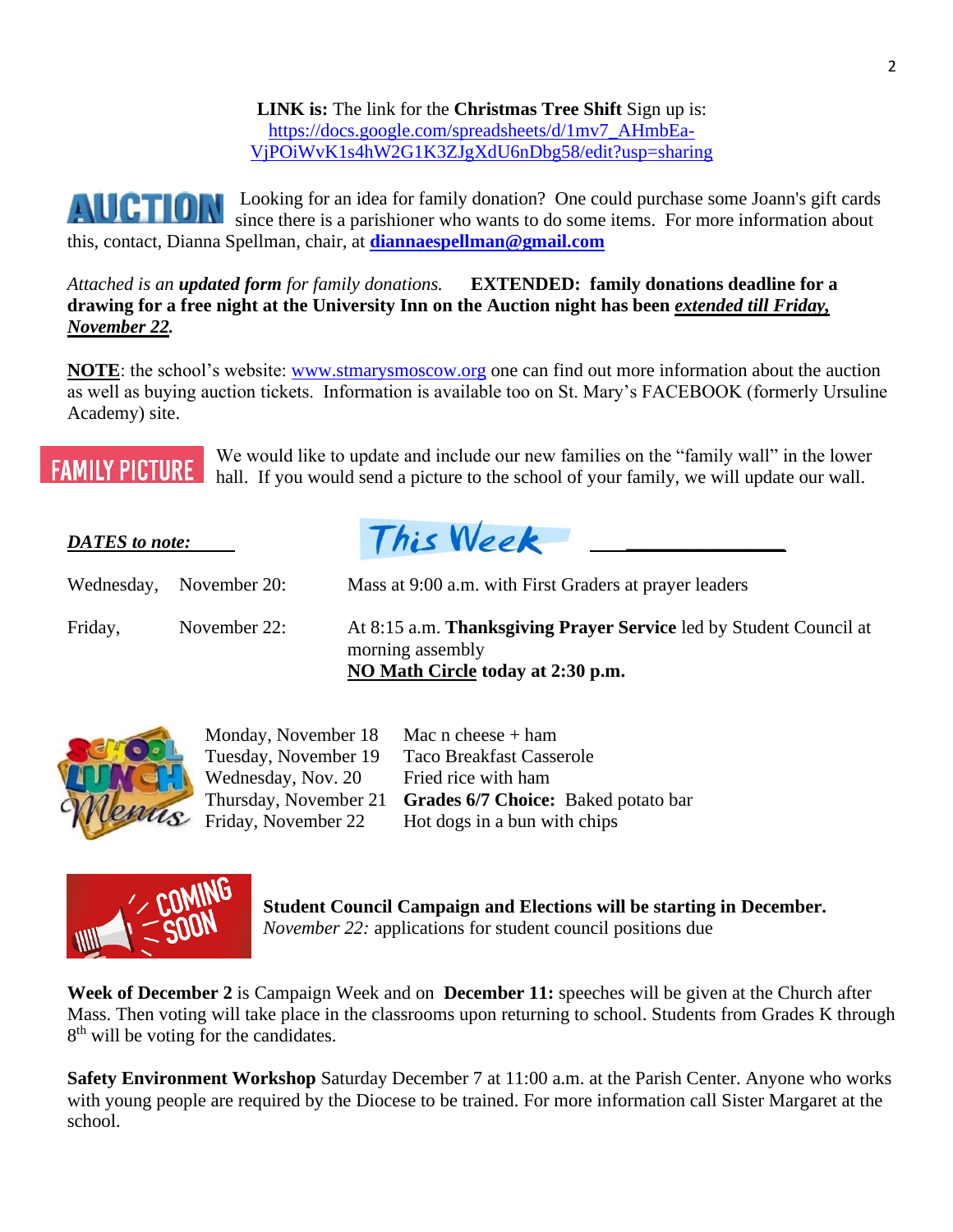**LINK is:** The link for the **Christmas Tree Shift** Sign up is: [https://docs.google.com/spreadsheets/d/1mv7\\_AHmbEa-](https://docs.google.com/spreadsheets/d/1mv7_AHmbEa-VjPOiWvK1s4hW2G1K3ZJgXdU6nDbg58/edit?usp=sharing)[VjPOiWvK1s4hW2G1K3ZJgXdU6nDbg58/edit?usp=sharing](https://docs.google.com/spreadsheets/d/1mv7_AHmbEa-VjPOiWvK1s4hW2G1K3ZJgXdU6nDbg58/edit?usp=sharing)

Looking for an idea for family donation? One could purchase some Joann's gift cards **AUCTION** since there is a parishioner who wants to do some items. For more information about this, contact, Dianna Spellman, chair, at **[diannaespellman@gmail.com](mailto:diannaespellman@gmail.com)**

*Attached is an updated form for family donations.* **EXTENDED: family donations deadline for a drawing for a free night at the University Inn on the Auction night has been** *extended till Friday, November 22.* 

**NOTE**: the school's website: [www.stmarysmoscow.org](http://www.stmarysmoscow.org/) one can find out more information about the auction as well as buying auction tickets. Information is available too on St. Mary's FACEBOOK (formerly Ursuline Academy) site.

# **FAMILY PICTURE**

We would like to update and include our new families on the "family wall" in the lower hall. If you would send a picture to the school of your family, we will update our wall.

| <b>DATES</b> to note: |              | This Week                                                                                                                          |
|-----------------------|--------------|------------------------------------------------------------------------------------------------------------------------------------|
| Wednesday,            | November 20: | Mass at 9:00 a.m. with First Graders at prayer leaders                                                                             |
| Friday,               | November 22: | At 8:15 a.m. <b>Thanksgiving Prayer Service</b> led by Student Council at<br>morning assembly<br>NO Math Circle today at 2:30 p.m. |



| Monday, November 18               | Mac $n$ cheese $+$ ham              |
|-----------------------------------|-------------------------------------|
| Tuesday, November 19              | <b>Taco Breakfast Casserole</b>     |
| Wednesday, Nov. 20                | Fried rice with ham                 |
| Thursday, November 21             | Grades 6/7 Choice: Baked potato bar |
| $\mathcal{S}$ Friday, November 22 | Hot dogs in a bun with chips        |
|                                   |                                     |



**Student Council Campaign and Elections will be starting in December.**  *November 22:* applications for student council positions due

**Week of December 2** is Campaign Week and on **December 11:** speeches will be given at the Church after Mass. Then voting will take place in the classrooms upon returning to school. Students from Grades K through 8<sup>th</sup> will be voting for the candidates.

**Safety Environment Workshop** Saturday December 7 at 11:00 a.m. at the Parish Center. Anyone who works with young people are required by the Diocese to be trained. For more information call Sister Margaret at the school.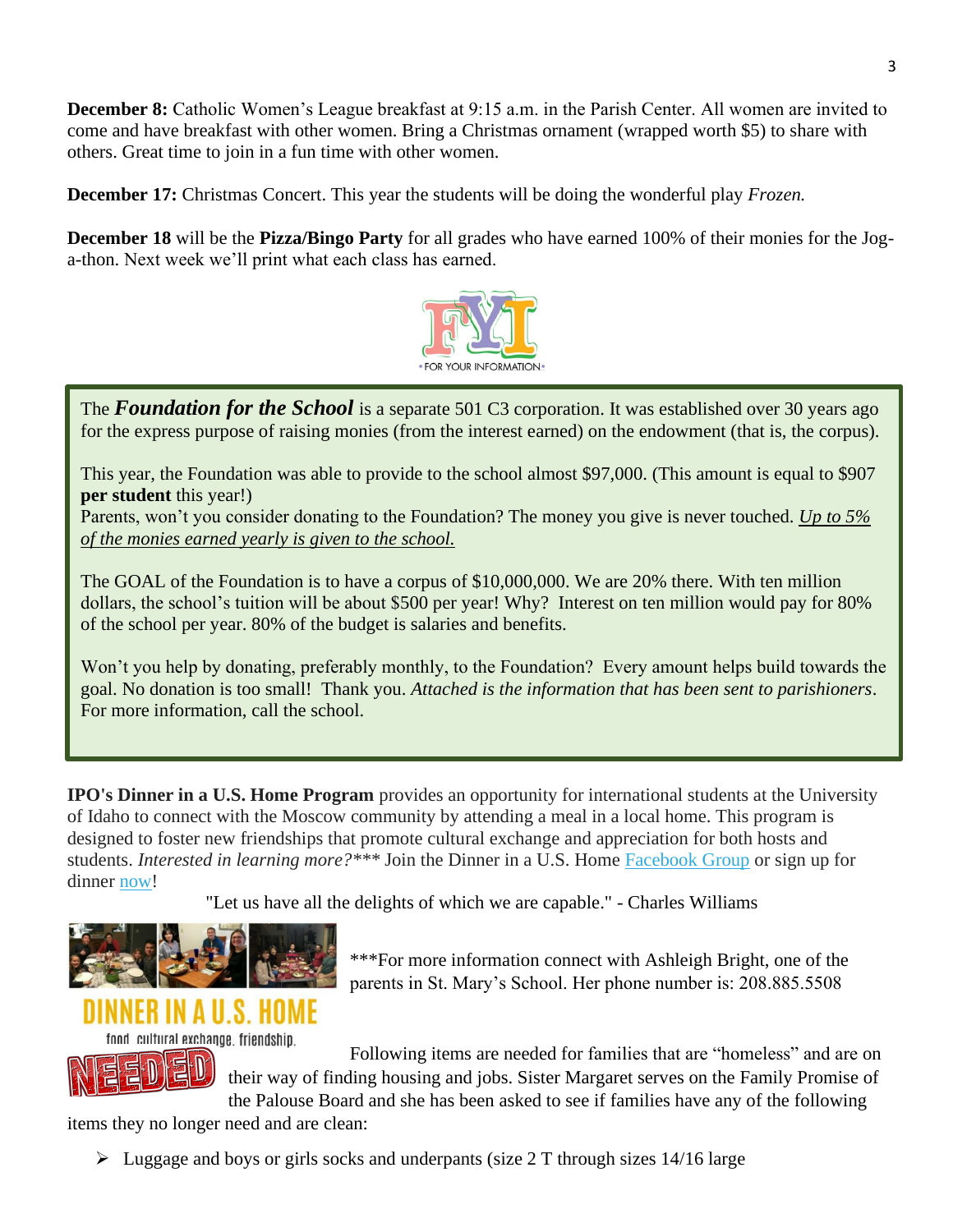**December 8:** Catholic Women's League breakfast at 9:15 a.m. in the Parish Center. All women are invited to come and have breakfast with other women. Bring a Christmas ornament (wrapped worth \$5) to share with others. Great time to join in a fun time with other women.

**December 17:** Christmas Concert. This year the students will be doing the wonderful play *Frozen.*

**December 18** will be the **Pizza/Bingo Party** for all grades who have earned 100% of their monies for the Joga-thon. Next week we'll print what each class has earned.



The **Foundation for the School** is a separate 501 C3 corporation. It was established over 30 years ago for the express purpose of raising monies (from the interest earned) on the endowment (that is, the corpus).

This year, the Foundation was able to provide to the school almost \$97,000. (This amount is equal to \$907 **per student** this year!)

Parents, won't you consider donating to the Foundation? The money you give is never touched. *Up to 5% of the monies earned yearly is given to the school.*

The GOAL of the Foundation is to have a corpus of \$10,000,000. We are 20% there. With ten million dollars, the school's tuition will be about \$500 per year! Why? Interest on ten million would pay for 80% of the school per year. 80% of the budget is salaries and benefits.

Won't you help by donating, preferably monthly, to the Foundation? Every amount helps build towards the goal. No donation is too small! Thank you. *Attached is the information that has been sent to parishioners*. For more information, call the school.

**IPO's Dinner in a U.S. Home Program** provides an opportunity for international students at the University of Idaho to connect with the Moscow community by attending a meal in a local home. This program is designed to foster new friendships that promote cultural exchange and appreciation for both hosts and students. *Interested in learning more?\*\*\** Join the Dinner in a U.S. Home [Facebook Group](https://urldefense.com/v3/__https:/www.facebook.com/groups/2171826376410438/__;!MhfXWAnT7Wk!wQ0-ediJFw49kzeoxiuupYA4Fi_M1plCYbrWD6FRCryF_MWVw24YiwahhB7gEWb5$) or sign up for dinner [now!](https://urldefense.com/v3/__https:/uidaho.co1.qualtrics.com/jfe/form/SV_bdRYHthCcTKUm4B?fbclid=IwAR38sFO6wV-GIHNLP6RM-mXrQ3xb916Y0P1NVcVbujWUefZmh4Wj6i7Wls0__;!MhfXWAnT7Wk!wQ0-ediJFw49kzeoxiuupYA4Fi_M1plCYbrWD6FRCryF_MWVw24YiwahhO4RLUr1$)

"Let us have all the delights of which we are capable." - Charles Williams



\*\*\*For more information connect with Ashleigh Bright, one of the parents in St. Mary's School. Her phone number is: 208.885.5508

## NER IN A U.S. HOME

food, cultural exchange, friendship,

Æ

Following items are needed for families that are "homeless" and are on their way of finding housing and jobs. Sister Margaret serves on the Family Promise of the Palouse Board and she has been asked to see if families have any of the following

items they no longer need and are clean:

➢ Luggage and boys or girls socks and underpants (size 2 T through sizes 14/16 large